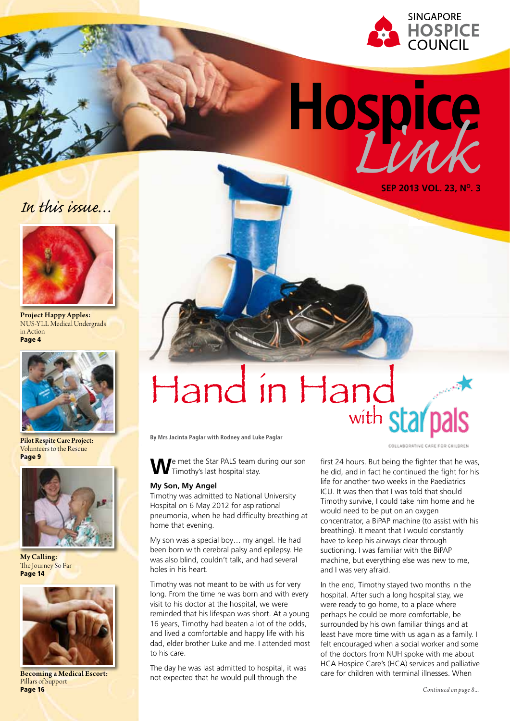

**Hospice** *Link*

**Sep 2013 Vol. 23, No. 3**





Project Happy Apples: NUS-YLL Medical Undergrads in Action Page 4



Pilot Respite Care Project: Volunteers to the Rescue Page 9



My Calling: The Journey So Far Page 14



Becoming a Medical Escort: Pillars of Support Page 16

# Hand in Hand with star pals

**By Mrs Jacinta Paglar with Rodney and Luke Paglar**

**W**e met the Star PALS team during our son Timothy's last hospital stay.

#### **My Son, My Angel**

Timothy was admitted to National University Hospital on 6 May 2012 for aspirational pneumonia, when he had difficulty breathing at home that evening.

My son was a special boy… my angel. He had been born with cerebral palsy and epilepsy. He was also blind, couldn't talk, and had several holes in his heart.

Timothy was not meant to be with us for very long. From the time he was born and with every visit to his doctor at the hospital, we were reminded that his lifespan was short. At a young 16 years, Timothy had beaten a lot of the odds, and lived a comfortable and happy life with his dad, elder brother Luke and me. I attended most to his care.

The day he was last admitted to hospital, it was not expected that he would pull through the

COLLABORATIVE CARE FOR CHILDREN

first 24 hours. But being the fighter that he was, he did, and in fact he continued the fight for his life for another two weeks in the Paediatrics ICU. It was then that I was told that should Timothy survive, I could take him home and he would need to be put on an oxygen concentrator, a BiPAP machine (to assist with his breathing). It meant that I would constantly have to keep his airways clear through suctioning. I was familiar with the BiPAP machine, but everything else was new to me, and I was very afraid.

In the end, Timothy stayed two months in the hospital. After such a long hospital stay, we were ready to go home, to a place where perhaps he could be more comfortable, be surrounded by his own familiar things and at least have more time with us again as a family. I felt encouraged when a social worker and some of the doctors from NUH spoke with me about HCA Hospice Care's (HCA) services and palliative care for children with terminal illnesses. When